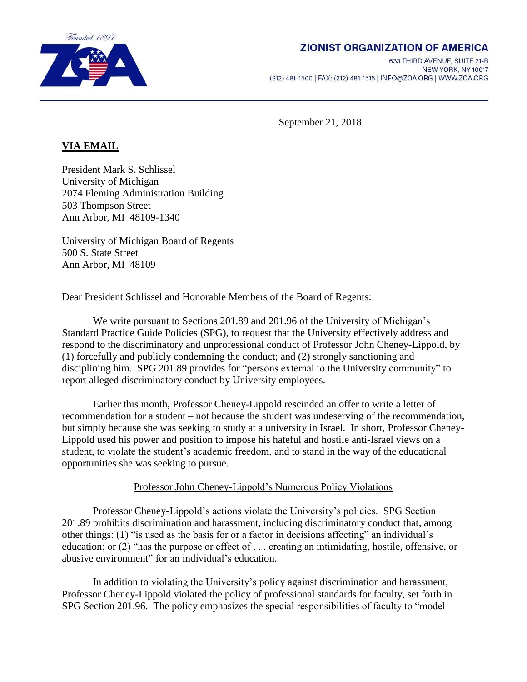

## **ZIONIST ORGANIZATION OF AMERICA**

633 THIRD AVENUE, SUITE 31-B NEW YORK, NY 10017 (212) 481-1500 | FAX: (212) 481-1515 | INFO@ZOA.ORG | WWW.ZOA.ORG

September 21, 2018

## **VIA EMAIL**

President Mark S. Schlissel University of Michigan 2074 Fleming Administration Building 503 Thompson Street Ann Arbor, MI 48109-1340

University of Michigan Board of Regents 500 S. State Street Ann Arbor, MI 48109

Dear President Schlissel and Honorable Members of the Board of Regents:

We write pursuant to Sections 201.89 and 201.96 of the University of Michigan's Standard Practice Guide Policies (SPG), to request that the University effectively address and respond to the discriminatory and unprofessional conduct of Professor John Cheney-Lippold, by (1) forcefully and publicly condemning the conduct; and (2) strongly sanctioning and disciplining him. SPG 201.89 provides for "persons external to the University community" to report alleged discriminatory conduct by University employees.

Earlier this month, Professor Cheney-Lippold rescinded an offer to write a letter of recommendation for a student – not because the student was undeserving of the recommendation, but simply because she was seeking to study at a university in Israel. In short, Professor Cheney-Lippold used his power and position to impose his hateful and hostile anti-Israel views on a student, to violate the student's academic freedom, and to stand in the way of the educational opportunities she was seeking to pursue.

## Professor John Cheney-Lippold's Numerous Policy Violations

Professor Cheney-Lippold's actions violate the University's policies. SPG Section 201.89 prohibits discrimination and harassment, including discriminatory conduct that, among other things: (1) "is used as the basis for or a factor in decisions affecting" an individual's education; or (2) "has the purpose or effect of . . . creating an intimidating, hostile, offensive, or abusive environment" for an individual's education.

In addition to violating the University's policy against discrimination and harassment, Professor Cheney-Lippold violated the policy of professional standards for faculty, set forth in SPG Section 201.96. The policy emphasizes the special responsibilities of faculty to "model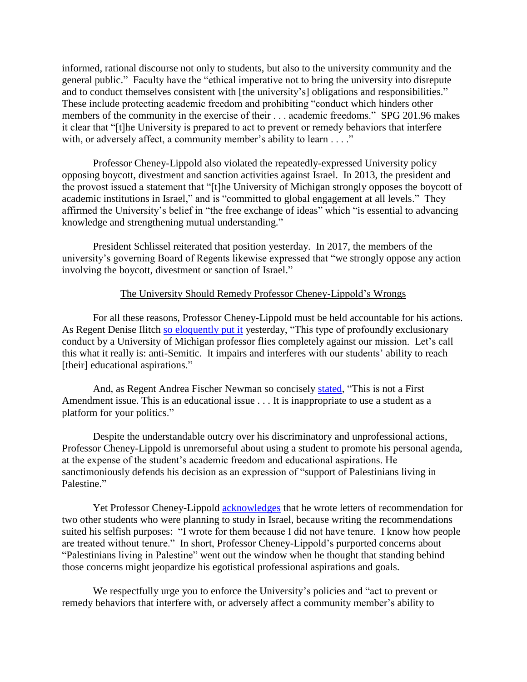informed, rational discourse not only to students, but also to the university community and the general public." Faculty have the "ethical imperative not to bring the university into disrepute and to conduct themselves consistent with [the university's] obligations and responsibilities." These include protecting academic freedom and prohibiting "conduct which hinders other members of the community in the exercise of their . . . academic freedoms." SPG 201.96 makes it clear that "[t]he University is prepared to act to prevent or remedy behaviors that interfere with, or adversely affect, a community member's ability to learn . . . ."

Professor Cheney-Lippold also violated the repeatedly-expressed University policy opposing boycott, divestment and sanction activities against Israel. In 2013, the president and the provost issued a statement that "[t]he University of Michigan strongly opposes the boycott of academic institutions in Israel," and is "committed to global engagement at all levels." They affirmed the University's belief in "the free exchange of ideas" which "is essential to advancing knowledge and strengthening mutual understanding."

President Schlissel reiterated that position yesterday. In 2017, the members of the university's governing Board of Regents likewise expressed that "we strongly oppose any action involving the boycott, divestment or sanction of Israel."

## The University Should Remedy Professor Cheney-Lippold's Wrongs

For all these reasons, Professor Cheney-Lippold must be held accountable for his actions. As Regent Denise Ilitch [so eloquently](https://www.detroitnews.com/story/news/local/michigan/2018/09/20/um-professor-israel-flap-seeks-respect-furor-grows/1371122002/) put it yesterday, "This type of profoundly exclusionary conduct by a University of Michigan professor flies completely against our mission. Let's call this what it really is: anti-Semitic. It impairs and interferes with our students' ability to reach [their] educational aspirations."

And, as Regent Andrea Fischer Newman so concisely [stated,](https://www.detroitnews.com/story/news/local/michigan/2018/09/20/um-professor-israel-flap-seeks-respect-furor-grows/1371122002/) "This is not a First Amendment issue. This is an educational issue . . . It is inappropriate to use a student as a platform for your politics."

Despite the understandable outcry over his discriminatory and unprofessional actions, Professor Cheney-Lippold is unremorseful about using a student to promote his personal agenda, at the expense of the student's academic freedom and educational aspirations. He sanctimoniously defends his decision as an expression of "support of Palestinians living in Palestine."

Yet Professor Cheney-Lippold [acknowledges](https://www.detroitnews.com/story/news/local/michigan/2018/09/20/um-professor-israel-flap-seeks-respect-furor-grows/1371122002/) that he wrote letters of recommendation for two other students who were planning to study in Israel, because writing the recommendations suited his selfish purposes: "I wrote for them because I did not have tenure. I know how people are treated without tenure." In short, Professor Cheney-Lippold's purported concerns about "Palestinians living in Palestine" went out the window when he thought that standing behind those concerns might jeopardize his egotistical professional aspirations and goals.

We respectfully urge you to enforce the University's policies and "act to prevent or remedy behaviors that interfere with, or adversely affect a community member's ability to